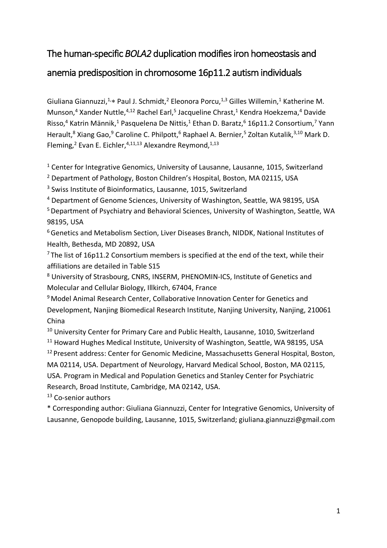## The human-specific *BOLA2* duplication modifies iron homeostasis and

## anemia predisposition in chromosome 16p11.2 autism individuals

Giuliana Giannuzzi,<sup>1,\*</sup> Paul J. Schmidt,<sup>2</sup> Eleonora Porcu,<sup>1,3</sup> Gilles Willemin,<sup>1</sup> Katherine M. Munson,<sup>4</sup> Xander Nuttle,<sup>4,12</sup> Rachel Earl,<sup>5</sup> Jacqueline Chrast,<sup>1</sup> Kendra Hoekzema,<sup>4</sup> Davide Risso,<sup>4</sup> Katrin Männik,<sup>1</sup> Pasquelena De Nittis,<sup>1</sup> Ethan D. Baratz,<sup>6</sup> 16p11.2 Consortium,<sup>7</sup> Yann Herault,<sup>8</sup> Xiang Gao,<sup>9</sup> Caroline C. Philpott,<sup>6</sup> Raphael A. Bernier,<sup>5</sup> Zoltan Kutalik,<sup>3,10</sup> Mark D. Fleming,<sup>2</sup> Evan E. Eichler,<sup>4,11,13</sup> Alexandre Reymond,<sup>1,13</sup>

<sup>1</sup> Center for Integrative Genomics, University of Lausanne, Lausanne, 1015, Switzerland

<sup>2</sup> Department of Pathology, Boston Children's Hospital, Boston, MA 02115, USA

<sup>3</sup> Swiss Institute of Bioinformatics, Lausanne, 1015, Switzerland

<sup>4</sup> Department of Genome Sciences, University of Washington, Seattle, WA 98195, USA

<sup>5</sup> Department of Psychiatry and Behavioral Sciences, University of Washington, Seattle, WA 98195, USA

6Genetics and Metabolism Section, Liver Diseases Branch, NIDDK, National Institutes of Health, Bethesda, MD 20892, USA

 $7$  The list of 16p11.2 Consortium members is specified at the end of the text, while their affiliations are detailed in Table S15

<sup>8</sup> University of Strasbourg, CNRS, INSERM, PHENOMIN-ICS, Institute of Genetics and Molecular and Cellular Biology, Illkirch, 67404, France

<sup>9</sup> Model Animal Research Center, Collaborative Innovation Center for Genetics and Development, Nanjing Biomedical Research Institute, Nanjing University, Nanjing, 210061 China

<sup>10</sup> University Center for Primary Care and Public Health, Lausanne, 1010, Switzerland

<sup>11</sup> Howard Hughes Medical Institute, University of Washington, Seattle, WA 98195, USA

<sup>12</sup> Present address: Center for Genomic Medicine, Massachusetts General Hospital, Boston,

MA 02114, USA. Department of Neurology, Harvard Medical School, Boston, MA 02115, USA. Program in Medical and Population Genetics and Stanley Center for Psychiatric Research, Broad Institute, Cambridge, MA 02142, USA.

<sup>13</sup> Co-senior authors

\* Corresponding author: Giuliana Giannuzzi, Center for Integrative Genomics, University of Lausanne, Genopode building, Lausanne, 1015, Switzerland; giuliana.giannuzzi@gmail.com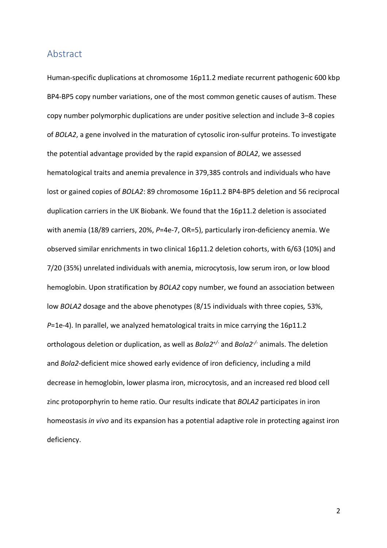#### Abstract

Human-specific duplications at chromosome 16p11.2 mediate recurrent pathogenic 600 kbp BP4-BP5 copy number variations, one of the most common genetic causes of autism. These copy number polymorphic duplications are under positive selection and include 3–8 copies of *BOLA2*, a gene involved in the maturation of cytosolic iron-sulfur proteins. To investigate the potential advantage provided by the rapid expansion of *BOLA2*, we assessed hematological traits and anemia prevalence in 379,385 controls and individuals who have lost or gained copies of *BOLA2*: 89 chromosome 16p11.2 BP4-BP5 deletion and 56 reciprocal duplication carriers in the UK Biobank. We found that the 16p11.2 deletion is associated with anemia (18/89 carriers, 20%, *P*=4e-7, OR=5), particularly iron-deficiency anemia. We observed similar enrichments in two clinical 16p11.2 deletion cohorts, with 6/63 (10%) and 7/20 (35%) unrelated individuals with anemia, microcytosis, low serum iron, or low blood hemoglobin. Upon stratification by *BOLA2* copy number, we found an association between low *BOLA2* dosage and the above phenotypes (8/15 individuals with three copies*,* 53%, *P*=1e-4). In parallel, we analyzed hematological traits in mice carrying the 16p11.2 orthologous deletion or duplication, as well as *Bola2+/-* and *Bola2-/-* animals. The deletion and *Bola2*-deficient mice showed early evidence of iron deficiency, including a mild decrease in hemoglobin, lower plasma iron, microcytosis, and an increased red blood cell zinc protoporphyrin to heme ratio. Our results indicate that *BOLA2* participates in iron homeostasis *in vivo* and its expansion has a potential adaptive role in protecting against iron deficiency.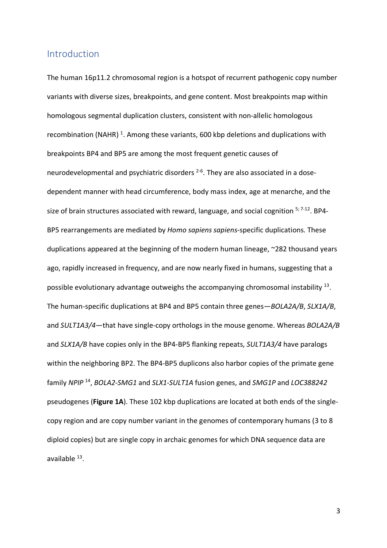### Introduction

The human 16p11.2 chromosomal region is a hotspot of recurrent pathogenic copy number variants with diverse sizes, breakpoints, and gene content. Most breakpoints map within homologous segmental duplication clusters, consistent with non-allelic homologous recombination (NAHR)<sup>1</sup>. Among these variants, 600 kbp deletions and duplications with breakpoints BP4 and BP5 are among the most frequent genetic causes of neurodevelopmental and psychiatric disorders <sup>2-6</sup>. They are also associated in a dosedependent manner with head circumference, body mass index, age at menarche, and the size of brain structures associated with reward, language, and social cognition  $5,7-12$ . BP4-BP5 rearrangements are mediated by *Homo sapiens sapiens*-specific duplications. These duplications appeared at the beginning of the modern human lineage, ~282 thousand years ago, rapidly increased in frequency, and are now nearly fixed in humans, suggesting that a possible evolutionary advantage outweighs the accompanying chromosomal instability  $^{13}$ . The human-specific duplications at BP4 and BP5 contain three genes—*BOLA2A/B*, *SLX1A/B*, and *SULT1A3/4*—that have single-copy orthologs in the mouse genome. Whereas *BOLA2A/B* and *SLX1A/B* have copies only in the BP4-BP5 flanking repeats, *SULT1A3/4* have paralogs within the neighboring BP2. The BP4-BP5 duplicons also harbor copies of the primate gene family *NPIP* 14, *BOLA2-SMG1* and *SLX1-SULT1A* fusion genes, and *SMG1P* and *LOC388242* pseudogenes (**Figure 1A**). These 102 kbp duplications are located at both ends of the singlecopy region and are copy number variant in the genomes of contemporary humans (3 to 8 diploid copies) but are single copy in archaic genomes for which DNA sequence data are available 13.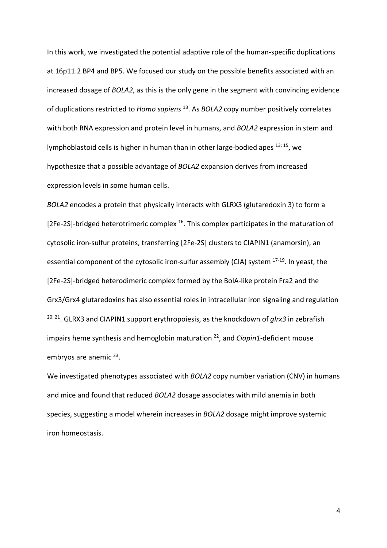In this work, we investigated the potential adaptive role of the human-specific duplications at 16p11.2 BP4 and BP5. We focused our study on the possible benefits associated with an increased dosage of *BOLA2*, as this is the only gene in the segment with convincing evidence of duplications restricted to *Homo sapiens* 13. As *BOLA2* copy number positively correlates with both RNA expression and protein level in humans, and *BOLA2* expression in stem and lymphoblastoid cells is higher in human than in other large-bodied apes  $^{13;15}$ , we hypothesize that a possible advantage of *BOLA2* expansion derives from increased expression levels in some human cells.

*BOLA2* encodes a protein that physically interacts with GLRX3 (glutaredoxin 3) to form a [2Fe-2S]-bridged heterotrimeric complex <sup>16</sup>. This complex participates in the maturation of cytosolic iron-sulfur proteins, transferring [2Fe-2S] clusters to CIAPIN1 (anamorsin), an essential component of the cytosolic iron-sulfur assembly (CIA) system <sup>17-19</sup>. In yeast, the [2Fe-2S]-bridged heterodimeric complex formed by the BolA-like protein Fra2 and the Grx3/Grx4 glutaredoxins has also essential roles in intracellular iron signaling and regulation 20; 21. GLRX3 and CIAPIN1 support erythropoiesis, as the knockdown of *glrx3* in zebrafish impairs heme synthesis and hemoglobin maturation 22, and *Ciapin1-*deficient mouse embryos are anemic <sup>23</sup>.

We investigated phenotypes associated with *BOLA2* copy number variation (CNV) in humans and mice and found that reduced *BOLA2* dosage associates with mild anemia in both species, suggesting a model wherein increases in *BOLA2* dosage might improve systemic iron homeostasis.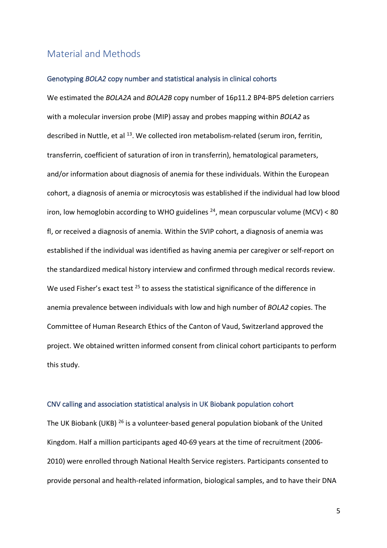### Material and Methods

#### Genotyping *BOLA2* copy number and statistical analysis in clinical cohorts

We estimated the *BOLA2A* and *BOLA2B* copy number of 16p11.2 BP4-BP5 deletion carriers with a molecular inversion probe (MIP) assay and probes mapping within *BOLA2* as described in Nuttle, et al <sup>13</sup>. We collected iron metabolism-related (serum iron, ferritin, transferrin, coefficient of saturation of iron in transferrin), hematological parameters, and/or information about diagnosis of anemia for these individuals. Within the European cohort, a diagnosis of anemia or microcytosis was established if the individual had low blood iron, low hemoglobin according to WHO guidelines  $24$ , mean corpuscular volume (MCV) < 80 fl, or received a diagnosis of anemia. Within the SVIP cohort, a diagnosis of anemia was established if the individual was identified as having anemia per caregiver or self-report on the standardized medical history interview and confirmed through medical records review. We used Fisher's exact test <sup>25</sup> to assess the statistical significance of the difference in anemia prevalence between individuals with low and high number of *BOLA2* copies. The Committee of Human Research Ethics of the Canton of Vaud, Switzerland approved the project. We obtained written informed consent from clinical cohort participants to perform this study.

#### CNV calling and association statistical analysis in UK Biobank population cohort

The UK Biobank (UKB)<sup>26</sup> is a volunteer-based general population biobank of the United Kingdom. Half a million participants aged 40-69 years at the time of recruitment (2006- 2010) were enrolled through National Health Service registers. Participants consented to provide personal and health-related information, biological samples, and to have their DNA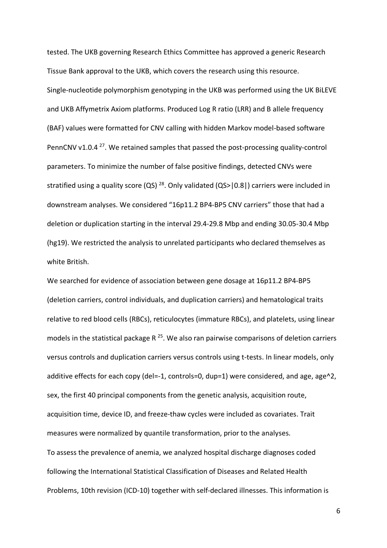tested. The UKB governing Research Ethics Committee has approved a generic Research Tissue Bank approval to the UKB, which covers the research using this resource. Single-nucleotide polymorphism genotyping in the UKB was performed using the UK BiLEVE and UKB Affymetrix Axiom platforms. Produced Log R ratio (LRR) and B allele frequency (BAF) values were formatted for CNV calling with hidden Markov model-based software PennCNV v1.0.4<sup>27</sup>. We retained samples that passed the post-processing quality-control parameters. To minimize the number of false positive findings, detected CNVs were stratified using a quality score (QS) <sup>28</sup>. Only validated (QS>|0.8|) carriers were included in downstream analyses. We considered "16p11.2 BP4-BP5 CNV carriers" those that had a deletion or duplication starting in the interval 29.4-29.8 Mbp and ending 30.05-30.4 Mbp (hg19). We restricted the analysis to unrelated participants who declared themselves as white British.

We searched for evidence of association between gene dosage at 16p11.2 BP4-BP5 (deletion carriers, control individuals, and duplication carriers) and hematological traits relative to red blood cells (RBCs), reticulocytes (immature RBCs), and platelets, using linear models in the statistical package R  $^{25}$ . We also ran pairwise comparisons of deletion carriers versus controls and duplication carriers versus controls using t-tests. In linear models, only additive effects for each copy (del=-1, controls=0, dup=1) were considered, and age, age^2, sex, the first 40 principal components from the genetic analysis, acquisition route, acquisition time, device ID, and freeze-thaw cycles were included as covariates. Trait measures were normalized by quantile transformation, prior to the analyses. To assess the prevalence of anemia, we analyzed hospital discharge diagnoses coded following the International Statistical Classification of Diseases and Related Health Problems, 10th revision (ICD-10) together with self-declared illnesses. This information is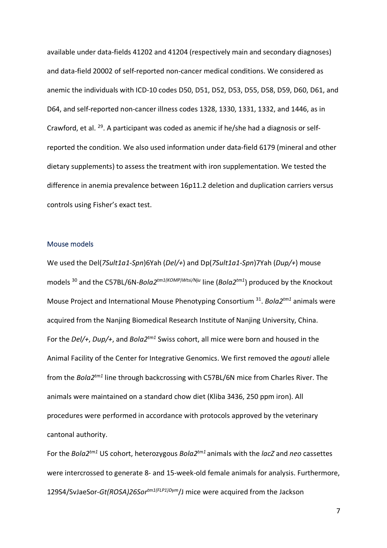available under data-fields 41202 and 41204 (respectively main and secondary diagnoses) and data-field 20002 of self-reported non-cancer medical conditions. We considered as anemic the individuals with ICD-10 codes D50, D51, D52, D53, D55, D58, D59, D60, D61, and D64, and self-reported non-cancer illness codes 1328, 1330, 1331, 1332, and 1446, as in Crawford, et al.  $^{29}$ . A participant was coded as anemic if he/she had a diagnosis or selfreported the condition. We also used information under data-field 6179 (mineral and other dietary supplements) to assess the treatment with iron supplementation. We tested the difference in anemia prevalence between 16p11.2 deletion and duplication carriers versus controls using Fisher's exact test.

#### Mouse models

We used the Del(*7Sult1a1-Spn*)6Yah (*Del/+*) and Dp(*7Sult1a1-Spn*)7Yah (*Dup/+*) mouse models 30 and the C57BL/6N-*Bola2tm1(KOMP)Wtsi/Nju* line (*Bola2tm1*) produced by the Knockout Mouse Project and International Mouse Phenotyping Consortium 31. *Bola2tm1* animals were acquired from the Nanjing Biomedical Research Institute of Nanjing University, China. For the *Del/+*, *Dup/+*, and *Bola2tm1* Swiss cohort, all mice were born and housed in the Animal Facility of the Center for Integrative Genomics. We first removed the *agouti* allele from the *Bola2tm1* line through backcrossing with C57BL/6N mice from Charles River. The animals were maintained on a standard chow diet (Kliba 3436, 250 ppm iron). All procedures were performed in accordance with protocols approved by the veterinary cantonal authority.

For the *Bola2tm1* US cohort, heterozygous *Bola2tm1* animals with the *lacZ* and *neo* cassettes were intercrossed to generate 8- and 15-week-old female animals for analysis. Furthermore, 129S4/SvJaeSor-*Gt(ROSA)26Sortm1(FLP1)Dym*/J mice were acquired from the Jackson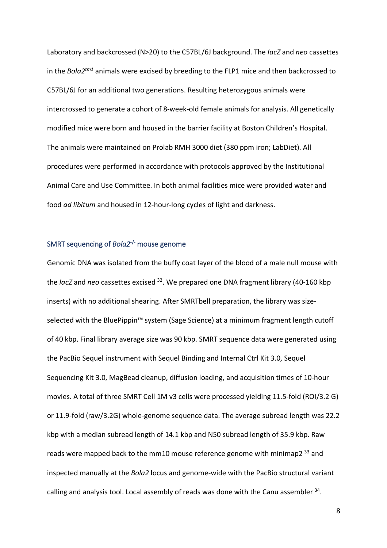Laboratory and backcrossed (N>20) to the C57BL/6J background. The *lacZ* and *neo* cassettes in the *Bola2tm1* animals were excised by breeding to the FLP1 mice and then backcrossed to C57BL/6J for an additional two generations. Resulting heterozygous animals were intercrossed to generate a cohort of 8-week-old female animals for analysis. All genetically modified mice were born and housed in the barrier facility at Boston Children's Hospital. The animals were maintained on Prolab RMH 3000 diet (380 ppm iron; LabDiet). All procedures were performed in accordance with protocols approved by the Institutional Animal Care and Use Committee. In both animal facilities mice were provided water and food *ad libitum* and housed in 12-hour-long cycles of light and darkness.

#### SMRT sequencing of *Bola2*-/- mouse genome

Genomic DNA was isolated from the buffy coat layer of the blood of a male null mouse with the *lacZ* and *neo* cassettes excised 32. We prepared one DNA fragment library (40-160 kbp inserts) with no additional shearing. After SMRTbell preparation, the library was sizeselected with the BluePippin™ system (Sage Science) at a minimum fragment length cutoff of 40 kbp. Final library average size was 90 kbp. SMRT sequence data were generated using the PacBio Sequel instrument with Sequel Binding and Internal Ctrl Kit 3.0, Sequel Sequencing Kit 3.0, MagBead cleanup, diffusion loading, and acquisition times of 10-hour movies. A total of three SMRT Cell 1M v3 cells were processed yielding 11.5-fold (ROI/3.2 G) or 11.9-fold (raw/3.2G) whole-genome sequence data. The average subread length was 22.2 kbp with a median subread length of 14.1 kbp and N50 subread length of 35.9 kbp. Raw reads were mapped back to the mm10 mouse reference genome with minimap2 33 and inspected manually at the *Bola2* locus and genome-wide with the PacBio structural variant calling and analysis tool. Local assembly of reads was done with the Canu assembler  $34$ .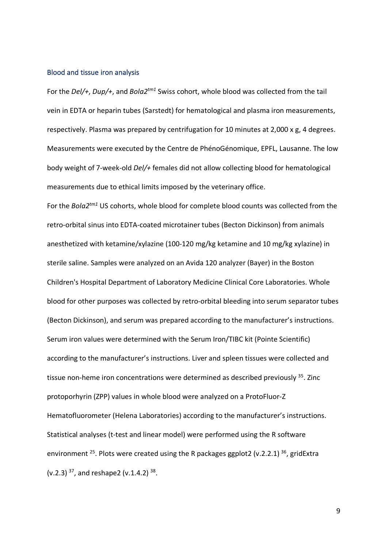#### Blood and tissue iron analysis

For the *Del/+*, *Dup/+*, and *Bola2tm1* Swiss cohort, whole blood was collected from the tail vein in EDTA or heparin tubes (Sarstedt) for hematological and plasma iron measurements, respectively. Plasma was prepared by centrifugation for 10 minutes at 2,000 x g, 4 degrees. Measurements were executed by the Centre de PhénoGénomique, EPFL, Lausanne. The low body weight of 7-week-old *Del/+* females did not allow collecting blood for hematological measurements due to ethical limits imposed by the veterinary office.

For the *Bola2tm1* US cohorts, whole blood for complete blood counts was collected from the retro-orbital sinus into EDTA-coated microtainer tubes (Becton Dickinson) from animals anesthetized with ketamine/xylazine (100-120 mg/kg ketamine and 10 mg/kg xylazine) in sterile saline. Samples were analyzed on an Avida 120 analyzer (Bayer) in the Boston Children's Hospital Department of Laboratory Medicine Clinical Core Laboratories. Whole blood for other purposes was collected by retro-orbital bleeding into serum separator tubes (Becton Dickinson), and serum was prepared according to the manufacturer's instructions. Serum iron values were determined with the Serum Iron/TIBC kit (Pointe Scientific) according to the manufacturer's instructions. Liver and spleen tissues were collected and tissue non-heme iron concentrations were determined as described previously <sup>35</sup>. Zinc protoporhyrin (ZPP) values in whole blood were analyzed on a ProtoFluor-Z Hematofluorometer (Helena Laboratories) according to the manufacturer's instructions. Statistical analyses (t-test and linear model) were performed using the R software environment <sup>25</sup>. Plots were created using the R packages ggplot2 (v.2.2.1)  $^{36}$ , gridExtra (v.2.3)  $37$ , and reshape2 (v.1.4.2)  $38$ .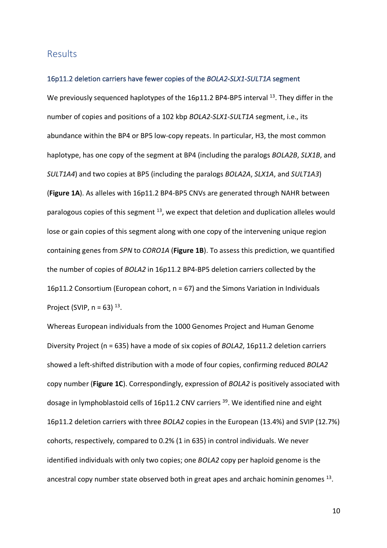## Results

#### 16p11.2 deletion carriers have fewer copies of the *BOLA2*-*SLX1*-*SULT1A* segment

We previously sequenced haplotypes of the 16p11.2 BP4-BP5 interval <sup>13</sup>. They differ in the number of copies and positions of a 102 kbp *BOLA2*-*SLX1*-*SULT1A* segment, i.e., its abundance within the BP4 or BP5 low-copy repeats. In particular, H3, the most common haplotype, has one copy of the segment at BP4 (including the paralogs *BOLA2B*, *SLX1B*, and *SULT1A4*) and two copies at BP5 (including the paralogs *BOLA2A*, *SLX1A*, and *SULT1A3*) (**Figure 1A**). As alleles with 16p11.2 BP4-BP5 CNVs are generated through NAHR between paralogous copies of this segment <sup>13</sup>, we expect that deletion and duplication alleles would lose or gain copies of this segment along with one copy of the intervening unique region containing genes from *SPN* to *CORO1A* (**Figure 1B**). To assess this prediction, we quantified the number of copies of *BOLA2* in 16p11.2 BP4-BP5 deletion carriers collected by the 16p11.2 Consortium (European cohort, n = 67) and the Simons Variation in Individuals Project (SVIP,  $n = 63$ )  $^{13}$ .

Whereas European individuals from the 1000 Genomes Project and Human Genome Diversity Project (n = 635) have a mode of six copies of *BOLA2*, 16p11.2 deletion carriers showed a left-shifted distribution with a mode of four copies, confirming reduced *BOLA2*  copy number (**Figure 1C**). Correspondingly, expression of *BOLA2* is positively associated with dosage in lymphoblastoid cells of 16p11.2 CNV carriers<sup>39</sup>. We identified nine and eight 16p11.2 deletion carriers with three *BOLA2* copies in the European (13.4%) and SVIP (12.7%) cohorts, respectively, compared to 0.2% (1 in 635) in control individuals. We never identified individuals with only two copies; one *BOLA2* copy per haploid genome is the ancestral copy number state observed both in great apes and archaic hominin genomes  $^{13}$ .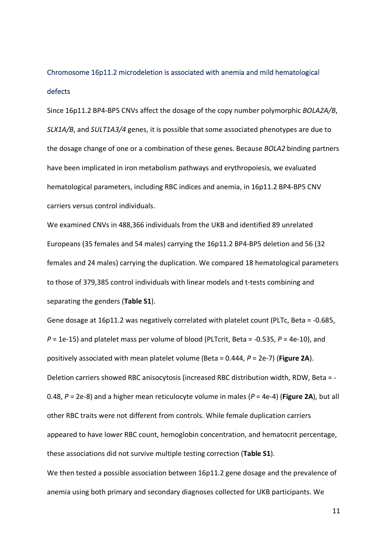## Chromosome 16p11.2 microdeletion is associated with anemia and mild hematological defects

Since 16p11.2 BP4-BP5 CNVs affect the dosage of the copy number polymorphic *BOLA2A/B*, *SLX1A/B*, and *SULT1A3/4* genes, it is possible that some associated phenotypes are due to the dosage change of one or a combination of these genes. Because *BOLA2* binding partners have been implicated in iron metabolism pathways and erythropoiesis, we evaluated hematological parameters, including RBC indices and anemia, in 16p11.2 BP4-BP5 CNV carriers versus control individuals.

We examined CNVs in 488,366 individuals from the UKB and identified 89 unrelated Europeans (35 females and 54 males) carrying the 16p11.2 BP4-BP5 deletion and 56 (32 females and 24 males) carrying the duplication. We compared 18 hematological parameters to those of 379,385 control individuals with linear models and t-tests combining and separating the genders (**Table S1**).

Gene dosage at 16p11.2 was negatively correlated with platelet count (PLTc, Beta = -0.685, *P* = 1e-15) and platelet mass per volume of blood (PLTcrit, Beta = -0.535, *P* = 4e-10), and positively associated with mean platelet volume (Beta = 0.444, *P* = 2e-7) (**Figure 2A**). Deletion carriers showed RBC anisocytosis (increased RBC distribution width, RDW, Beta = - 0.48, *P* = 2e-8) and a higher mean reticulocyte volume in males (*P* = 4e-4) (**Figure 2A**), but all other RBC traits were not different from controls. While female duplication carriers appeared to have lower RBC count, hemoglobin concentration, and hematocrit percentage, these associations did not survive multiple testing correction (**Table S1**). We then tested a possible association between 16p11.2 gene dosage and the prevalence of

anemia using both primary and secondary diagnoses collected for UKB participants. We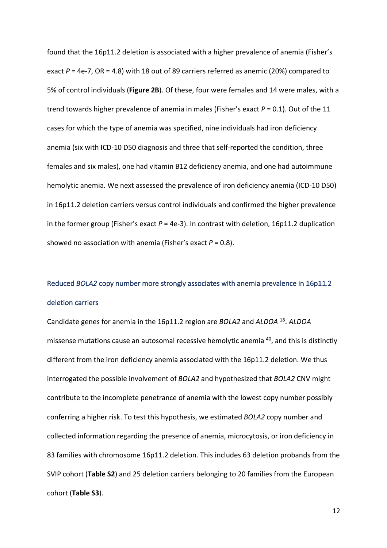found that the 16p11.2 deletion is associated with a higher prevalence of anemia (Fisher's exact  $P = 4e-7$ , OR = 4.8) with 18 out of 89 carriers referred as anemic (20%) compared to 5% of control individuals (**Figure 2B**). Of these, four were females and 14 were males, with a trend towards higher prevalence of anemia in males (Fisher's exact *P* = 0.1). Out of the 11 cases for which the type of anemia was specified, nine individuals had iron deficiency anemia (six with ICD-10 D50 diagnosis and three that self-reported the condition, three females and six males), one had vitamin B12 deficiency anemia, and one had autoimmune hemolytic anemia. We next assessed the prevalence of iron deficiency anemia (ICD-10 D50) in 16p11.2 deletion carriers versus control individuals and confirmed the higher prevalence in the former group (Fisher's exact *P* = 4e-3). In contrast with deletion, 16p11.2 duplication showed no association with anemia (Fisher's exact *P* = 0.8).

## Reduced *BOLA2* copy number more strongly associates with anemia prevalence in 16p11.2 deletion carriers

Candidate genes for anemia in the 16p11.2 region are *BOLA2* and *ALDOA* 18. *ALDOA* missense mutations cause an autosomal recessive hemolytic anemia 40, and this is distinctly different from the iron deficiency anemia associated with the 16p11.2 deletion. We thus interrogated the possible involvement of *BOLA2* and hypothesized that *BOLA2* CNV might contribute to the incomplete penetrance of anemia with the lowest copy number possibly conferring a higher risk. To test this hypothesis, we estimated *BOLA2* copy number and collected information regarding the presence of anemia, microcytosis, or iron deficiency in 83 families with chromosome 16p11.2 deletion. This includes 63 deletion probands from the SVIP cohort (**Table S2**) and 25 deletion carriers belonging to 20 families from the European cohort (**Table S3**).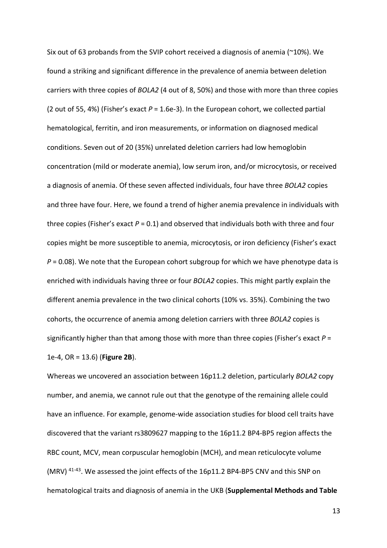Six out of 63 probands from the SVIP cohort received a diagnosis of anemia ( $\approx$ 10%). We found a striking and significant difference in the prevalence of anemia between deletion carriers with three copies of *BOLA2* (4 out of 8, 50%) and those with more than three copies (2 out of 55, 4%) (Fisher's exact *P* = 1.6e-3). In the European cohort, we collected partial hematological, ferritin, and iron measurements, or information on diagnosed medical conditions. Seven out of 20 (35%) unrelated deletion carriers had low hemoglobin concentration (mild or moderate anemia), low serum iron, and/or microcytosis, or received a diagnosis of anemia. Of these seven affected individuals, four have three *BOLA2* copies and three have four. Here, we found a trend of higher anemia prevalence in individuals with three copies (Fisher's exact *P* = 0.1) and observed that individuals both with three and four copies might be more susceptible to anemia, microcytosis, or iron deficiency (Fisher's exact *P* = 0.08). We note that the European cohort subgroup for which we have phenotype data is enriched with individuals having three or four *BOLA2* copies. This might partly explain the different anemia prevalence in the two clinical cohorts (10% vs. 35%). Combining the two cohorts, the occurrence of anemia among deletion carriers with three *BOLA2* copies is significantly higher than that among those with more than three copies (Fisher's exact *P* = 1e-4, OR = 13.6) (**Figure 2B**).

Whereas we uncovered an association between 16p11.2 deletion, particularly *BOLA2* copy number, and anemia, we cannot rule out that the genotype of the remaining allele could have an influence. For example, genome-wide association studies for blood cell traits have discovered that the variant rs3809627 mapping to the 16p11.2 BP4-BP5 region affects the RBC count, MCV, mean corpuscular hemoglobin (MCH), and mean reticulocyte volume (MRV)<sup>41-43</sup>. We assessed the joint effects of the 16p11.2 BP4-BP5 CNV and this SNP on hematological traits and diagnosis of anemia in the UKB (**Supplemental Methods and Table**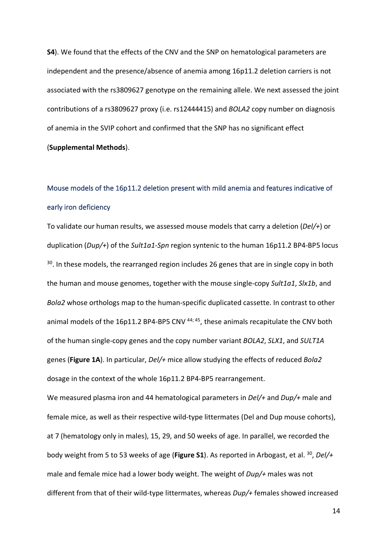**S4**). We found that the effects of the CNV and the SNP on hematological parameters are independent and the presence/absence of anemia among 16p11.2 deletion carriers is not associated with the rs3809627 genotype on the remaining allele. We next assessed the joint contributions of a rs3809627 proxy (i.e. rs12444415) and *BOLA2* copy number on diagnosis of anemia in the SVIP cohort and confirmed that the SNP has no significant effect (**Supplemental Methods**).

## Mouse models of the 16p11.2 deletion present with mild anemia and features indicative of early iron deficiency

To validate our human results, we assessed mouse models that carry a deletion (*Del/+*) or duplication (*Dup/+*) of the *Sult1a1*-*Spn* region syntenic to the human 16p11.2 BP4-BP5 locus  $30$ . In these models, the rearranged region includes 26 genes that are in single copy in both the human and mouse genomes, together with the mouse single-copy *Sult1a1*, *Slx1b*, and *Bola2* whose orthologs map to the human-specific duplicated cassette. In contrast to other animal models of the 16p11.2 BP4-BP5 CNV<sup>44;45</sup>, these animals recapitulate the CNV both of the human single-copy genes and the copy number variant *BOLA2*, *SLX1*, and *SULT1A* genes (**Figure 1A**). In particular, *Del/+* mice allow studying the effects of reduced *Bola2* dosage in the context of the whole 16p11.2 BP4-BP5 rearrangement.

We measured plasma iron and 44 hematological parameters in *Del/+* and *Dup/+* male and female mice, as well as their respective wild-type littermates (Del and Dup mouse cohorts), at 7 (hematology only in males), 15, 29, and 50 weeks of age. In parallel, we recorded the body weight from 5 to 53 weeks of age (**Figure S1**). As reported in Arbogast, et al. 30, *Del/+* male and female mice had a lower body weight. The weight of *Dup/+* males was not different from that of their wild-type littermates, whereas *Dup/+* females showed increased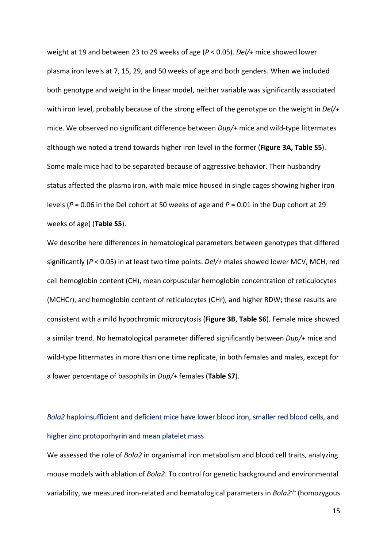weight at 19 and between 23 to 29 weeks of age (*P* < 0.05). *Del/+* mice showed lower plasma iron levels at 7, 15, 29, and 50 weeks of age and both genders. When we included both genotype and weight in the linear model, neither variable was significantly associated with iron level, probably because of the strong effect of the genotype on the weight in *Del/+* mice. We observed no significant difference between *Dup/+* mice and wild-type littermates although we noted a trend towards higher iron level in the former (**Figure 3A, Table S5**). Some male mice had to be separated because of aggressive behavior. Their husbandry status affected the plasma iron, with male mice housed in single cages showing higher iron levels (*P* = 0.06 in the Del cohort at 50 weeks of age and *P* = 0.01 in the Dup cohort at 29 weeks of age) (**Table S5**).

We describe here differences in hematological parameters between genotypes that differed significantly (*P* < 0.05) in at least two time points. *Del/+* males showed lower MCV, MCH, red cell hemoglobin content (CH), mean corpuscular hemoglobin concentration of reticulocytes (MCHCr), and hemoglobin content of reticulocytes (CHr), and higher RDW; these results are consistent with a mild hypochromic microcytosis (**Figure 3B**, **Table S6**). Female mice showed a similar trend. No hematological parameter differed significantly between *Dup/+* mice and wild-type littermates in more than one time replicate, in both females and males, except for a lower percentage of basophils in *Dup/+* females (**Table S7**).

## *Bola2* haploinsufficient and deficient mice have lower blood iron, smaller red blood cells, and higher zinc protoporhyrin and mean platelet mass

We assessed the role of *Bola2* in organismal iron metabolism and blood cell traits, analyzing mouse models with ablation of *Bola2*. To control for genetic background and environmental variability, we measured iron-related and hematological parameters in *Bola2*-/- (homozygous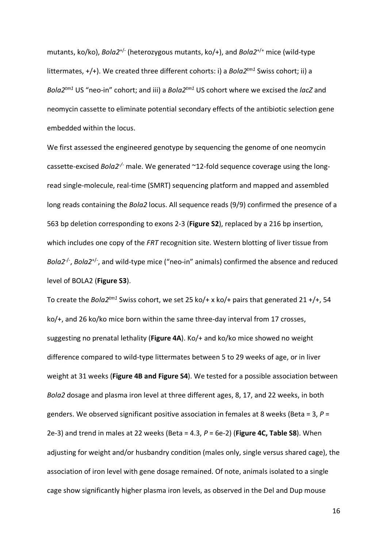mutants, ko/ko), *Bola2*+/- (heterozygous mutants, ko/+), and *Bola2*+/+ mice (wild-type littermates, +/+). We created three different cohorts: i) a *Bola2tm1* Swiss cohort; ii) a *Bola2tm1* US "neo-in" cohort; and iii) a *Bola2tm1* US cohort where we excised the *lacZ* and neomycin cassette to eliminate potential secondary effects of the antibiotic selection gene embedded within the locus.

We first assessed the engineered genotype by sequencing the genome of one neomycin cassette-excised *Bola2-/-* male. We generated ~12-fold sequence coverage using the longread single-molecule, real-time (SMRT) sequencing platform and mapped and assembled long reads containing the *Bola2* locus. All sequence reads (9/9) confirmed the presence of a 563 bp deletion corresponding to exons 2-3 (**Figure S2**), replaced by a 216 bp insertion, which includes one copy of the *FRT* recognition site. Western blotting of liver tissue from Bola2<sup>-/-</sup>, Bola2<sup>+/-</sup>, and wild-type mice ("neo-in" animals) confirmed the absence and reduced level of BOLA2 (**Figure S3**).

To create the *Bola2tm1* Swiss cohort, we set 25 ko/+ x ko/+ pairs that generated 21 +/+, 54 ko/+, and 26 ko/ko mice born within the same three-day interval from 17 crosses, suggesting no prenatal lethality (**Figure 4A**). Ko/+ and ko/ko mice showed no weight difference compared to wild-type littermates between 5 to 29 weeks of age, or in liver weight at 31 weeks (**Figure 4B and Figure S4**). We tested for a possible association between *Bola2* dosage and plasma iron level at three different ages, 8, 17, and 22 weeks, in both genders. We observed significant positive association in females at 8 weeks (Beta = 3, *P* = 2e-3) and trend in males at 22 weeks (Beta = 4.3, *P* = 6e-2) (**Figure 4C, Table S8**). When adjusting for weight and/or husbandry condition (males only, single versus shared cage), the association of iron level with gene dosage remained. Of note, animals isolated to a single cage show significantly higher plasma iron levels, as observed in the Del and Dup mouse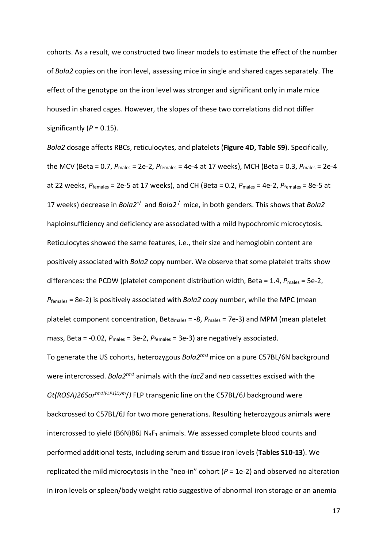cohorts. As a result, we constructed two linear models to estimate the effect of the number of *Bola2* copies on the iron level, assessing mice in single and shared cages separately. The effect of the genotype on the iron level was stronger and significant only in male mice housed in shared cages. However, the slopes of these two correlations did not differ significantly  $(P = 0.15)$ .

*Bola2* dosage affects RBCs, reticulocytes, and platelets (**Figure 4D, Table S9**). Specifically, the MCV (Beta = 0.7, *P*males = 2e-2, *P*females = 4e-4 at 17 weeks), MCH (Beta = 0.3, *P*males = 2e-4 at 22 weeks, *P*females = 2e-5 at 17 weeks), and CH (Beta = 0.2, *P*males = 4e-2, *P*females = 8e-5 at 17 weeks) decrease in *Bola2*+/- and *Bola2*-/- mice, in both genders. This shows that *Bola2* haploinsufficiency and deficiency are associated with a mild hypochromic microcytosis. Reticulocytes showed the same features, i.e., their size and hemoglobin content are positively associated with *Bola2* copy number. We observe that some platelet traits show differences: the PCDW (platelet component distribution width, Beta = 1.4,  $P_{\text{males}}$  = 5e-2, *P*females = 8e-2) is positively associated with *Bola2* copy number, while the MPC (mean platelet component concentration, Betamales = -8, *P*males = 7e-3) and MPM (mean platelet mass, Beta = -0.02, *P*males = 3e-2, *P*females = 3e-3) are negatively associated. To generate the US cohorts, heterozygous *Bola2<sup>tm1</sup>* mice on a pure C57BL/6N background

were intercrossed. *Bola2tm1* animals with the *lacZ* and *neo* cassettes excised with the *Gt(ROSA)26Sortm1(FLP1)Dym*/J FLP transgenic line on the C57BL/6J background were backcrossed to C57BL/6J for two more generations. Resulting heterozygous animals were intercrossed to yield (B6N)B6J  $N_3F_1$  animals. We assessed complete blood counts and performed additional tests, including serum and tissue iron levels (**Tables S10-13**). We replicated the mild microcytosis in the "neo-in" cohort  $(P = 1e-2)$  and observed no alteration in iron levels or spleen/body weight ratio suggestive of abnormal iron storage or an anemia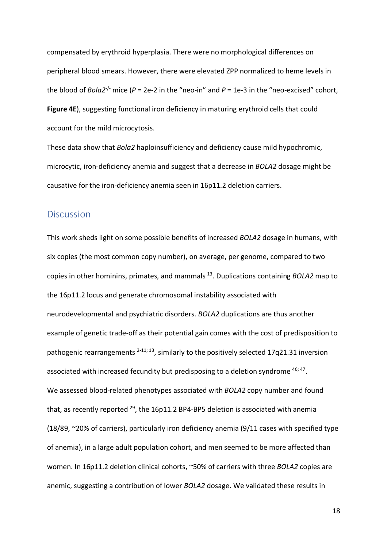compensated by erythroid hyperplasia. There were no morphological differences on peripheral blood smears. However, there were elevated ZPP normalized to heme levels in the blood of  $Bola2^{-1}$  mice ( $P = 2e-2$  in the "neo-in" and  $P = 1e-3$  in the "neo-excised" cohort, **Figure 4E**), suggesting functional iron deficiency in maturing erythroid cells that could account for the mild microcytosis.

These data show that *Bola2* haploinsufficiency and deficiency cause mild hypochromic, microcytic, iron-deficiency anemia and suggest that a decrease in *BOLA2* dosage might be causative for the iron-deficiency anemia seen in 16p11.2 deletion carriers.

### **Discussion**

This work sheds light on some possible benefits of increased *BOLA2* dosage in humans, with six copies (the most common copy number), on average, per genome, compared to two copies in other hominins, primates, and mammals 13. Duplications containing *BOLA2* map to the 16p11.2 locus and generate chromosomal instability associated with neurodevelopmental and psychiatric disorders. *BOLA2* duplications are thus another example of genetic trade-off as their potential gain comes with the cost of predisposition to pathogenic rearrangements  $^{2-11; 13}$ , similarly to the positively selected 17q21.31 inversion associated with increased fecundity but predisposing to a deletion syndrome <sup>46; 47</sup>. We assessed blood-related phenotypes associated with *BOLA2* copy number and found that, as recently reported  $^{29}$ , the 16p11.2 BP4-BP5 deletion is associated with anemia (18/89, ~20% of carriers), particularly iron deficiency anemia (9/11 cases with specified type of anemia), in a large adult population cohort, and men seemed to be more affected than women. In 16p11.2 deletion clinical cohorts, ~50% of carriers with three *BOLA2* copies are anemic, suggesting a contribution of lower *BOLA2* dosage. We validated these results in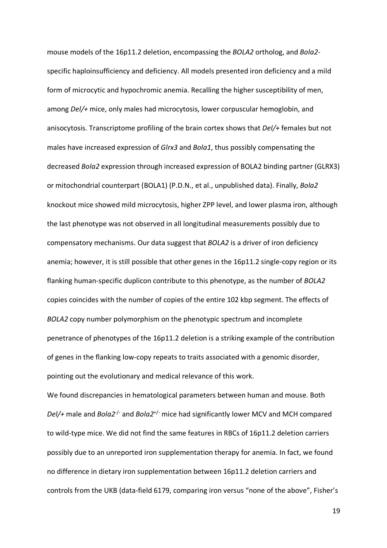mouse models of the 16p11.2 deletion, encompassing the *BOLA2* ortholog, and *Bola2* specific haploinsufficiency and deficiency. All models presented iron deficiency and a mild form of microcytic and hypochromic anemia. Recalling the higher susceptibility of men, among *Del/+* mice, only males had microcytosis, lower corpuscular hemoglobin, and anisocytosis. Transcriptome profiling of the brain cortex shows that *Del/+* females but not males have increased expression of *Glrx3* and *Bola1*, thus possibly compensating the decreased *Bola2* expression through increased expression of BOLA2 binding partner (GLRX3) or mitochondrial counterpart (BOLA1) (P.D.N., et al., unpublished data). Finally, *Bola2* knockout mice showed mild microcytosis, higher ZPP level, and lower plasma iron, although the last phenotype was not observed in all longitudinal measurements possibly due to compensatory mechanisms. Our data suggest that *BOLA2* is a driver of iron deficiency anemia; however, it is still possible that other genes in the 16p11.2 single-copy region or its flanking human-specific duplicon contribute to this phenotype, as the number of *BOLA2* copies coincides with the number of copies of the entire 102 kbp segment. The effects of *BOLA2* copy number polymorphism on the phenotypic spectrum and incomplete penetrance of phenotypes of the 16p11.2 deletion is a striking example of the contribution of genes in the flanking low-copy repeats to traits associated with a genomic disorder, pointing out the evolutionary and medical relevance of this work.

We found discrepancies in hematological parameters between human and mouse. Both *Del/+* male and *Bola2*-/- and *Bola2*+/- mice had significantly lower MCV and MCH compared to wild-type mice. We did not find the same features in RBCs of 16p11.2 deletion carriers possibly due to an unreported iron supplementation therapy for anemia. In fact, we found no difference in dietary iron supplementation between 16p11.2 deletion carriers and controls from the UKB (data-field 6179, comparing iron versus "none of the above", Fisher's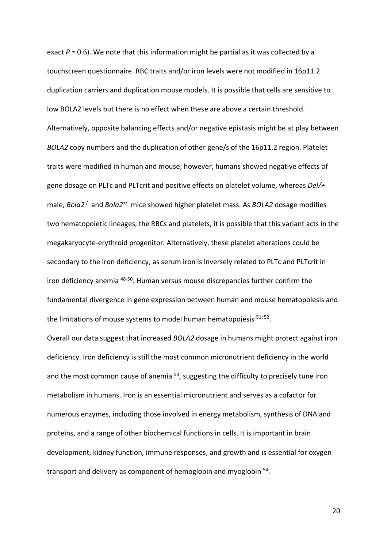exact  $P = 0.6$ ). We note that this information might be partial as it was collected by a touchscreen questionnaire. RBC traits and/or iron levels were not modified in 16p11.2 duplication carriers and duplication mouse models. It is possible that cells are sensitive to low BOLA2 levels but there is no effect when these are above a certain threshold. Alternatively, opposite balancing effects and/or negative epistasis might be at play between *BOLA2* copy numbers and the duplication of other gene/s of the 16p11.2 region. Platelet traits were modified in human and mouse; however, humans showed negative effects of gene dosage on PLTc and PLTcrit and positive effects on platelet volume, whereas *Del/+* male, *Bola2*-/- and *Bola2*+/- mice showed higher platelet mass. As *BOLA2* dosage modifies two hematopoietic lineages, the RBCs and platelets, it is possible that this variant acts in the megakaryocyte-erythroid progenitor. Alternatively, these platelet alterations could be secondary to the iron deficiency, as serum iron is inversely related to PLTc and PLTcrit in iron deficiency anemia 48-50. Human versus mouse discrepancies further confirm the fundamental divergence in gene expression between human and mouse hematopoiesis and the limitations of mouse systems to model human hematopoiesis <sup>51; 52</sup>.

Overall our data suggest that increased *BOLA2* dosage in humans might protect against iron deficiency. Iron deficiency is still the most common micronutrient deficiency in the world and the most common cause of anemia  $53$ , suggesting the difficulty to precisely tune iron metabolism in humans. Iron is an essential micronutrient and serves as a cofactor for numerous enzymes, including those involved in energy metabolism, synthesis of DNA and proteins, and a range of other biochemical functions in cells. It is important in brain development, kidney function, immune responses, and growth and is essential for oxygen transport and delivery as component of hemoglobin and myoglobin  $54$ .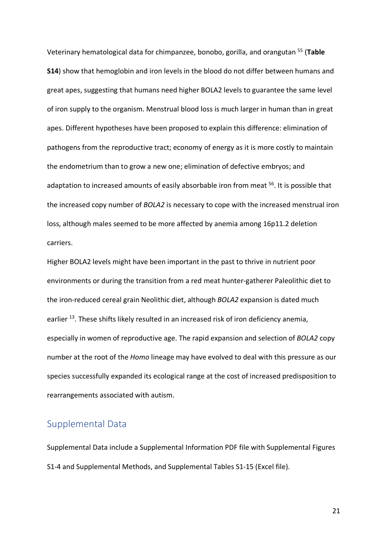Veterinary hematological data for chimpanzee, bonobo, gorilla, and orangutan 55 (**Table S14**) show that hemoglobin and iron levels in the blood do not differ between humans and great apes, suggesting that humans need higher BOLA2 levels to guarantee the same level of iron supply to the organism. Menstrual blood loss is much larger in human than in great apes. Different hypotheses have been proposed to explain this difference: elimination of pathogens from the reproductive tract; economy of energy as it is more costly to maintain the endometrium than to grow a new one; elimination of defective embryos; and adaptation to increased amounts of easily absorbable iron from meat <sup>56</sup>. It is possible that the increased copy number of *BOLA2* is necessary to cope with the increased menstrual iron loss, although males seemed to be more affected by anemia among 16p11.2 deletion carriers.

Higher BOLA2 levels might have been important in the past to thrive in nutrient poor environments or during the transition from a red meat hunter-gatherer Paleolithic diet to the iron-reduced cereal grain Neolithic diet, although *BOLA2* expansion is dated much earlier <sup>13</sup>. These shifts likely resulted in an increased risk of iron deficiency anemia, especially in women of reproductive age. The rapid expansion and selection of *BOLA2* copy number at the root of the *Homo* lineage may have evolved to deal with this pressure as our species successfully expanded its ecological range at the cost of increased predisposition to rearrangements associated with autism.

## Supplemental Data

Supplemental Data include a Supplemental Information PDF file with Supplemental Figures S1-4 and Supplemental Methods, and Supplemental Tables S1-15 (Excel file).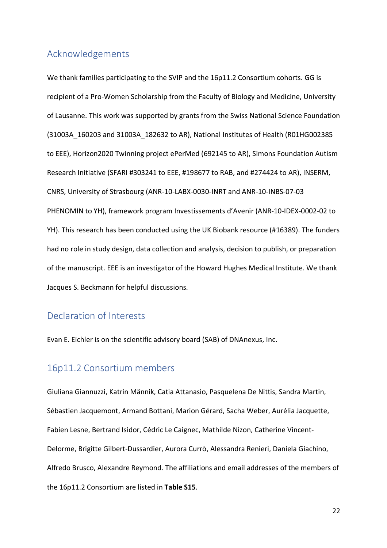### Acknowledgements

We thank families participating to the SVIP and the 16p11.2 Consortium cohorts. GG is recipient of a Pro-Women Scholarship from the Faculty of Biology and Medicine, University of Lausanne. This work was supported by grants from the Swiss National Science Foundation (31003A\_160203 and 31003A\_182632 to AR), National Institutes of Health (R01HG002385 to EEE), Horizon2020 Twinning project ePerMed (692145 to AR), Simons Foundation Autism Research Initiative (SFARI #303241 to EEE, #198677 to RAB, and #274424 to AR), INSERM, CNRS, University of Strasbourg (ANR-10-LABX-0030-INRT and ANR-10-INBS-07-03 PHENOMIN to YH), framework program Investissements d'Avenir (ANR-10-IDEX-0002-02 to YH). This research has been conducted using the UK Biobank resource (#16389). The funders had no role in study design, data collection and analysis, decision to publish, or preparation of the manuscript. EEE is an investigator of the Howard Hughes Medical Institute. We thank Jacques S. Beckmann for helpful discussions.

## Declaration of Interests

Evan E. Eichler is on the scientific advisory board (SAB) of DNAnexus, Inc.

### 16p11.2 Consortium members

Giuliana Giannuzzi, Katrin Männik, Catia Attanasio, Pasquelena De Nittis, Sandra Martin, Sébastien Jacquemont, Armand Bottani, Marion Gérard, Sacha Weber, Aurélia Jacquette, Fabien Lesne, Bertrand Isidor, Cédric Le Caignec, Mathilde Nizon, Catherine Vincent-Delorme, Brigitte Gilbert-Dussardier, Aurora Currò, Alessandra Renieri, Daniela Giachino, Alfredo Brusco, Alexandre Reymond. The affiliations and email addresses of the members of the 16p11.2 Consortium are listed in **Table S15**.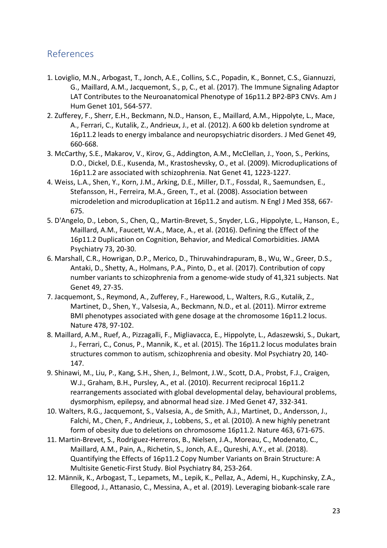## References

- 1. Loviglio, M.N., Arbogast, T., Jonch, A.E., Collins, S.C., Popadin, K., Bonnet, C.S., Giannuzzi, G., Maillard, A.M., Jacquemont, S., p, C., et al. (2017). The Immune Signaling Adaptor LAT Contributes to the Neuroanatomical Phenotype of 16p11.2 BP2-BP3 CNVs. Am J Hum Genet 101, 564-577.
- 2. Zufferey, F., Sherr, E.H., Beckmann, N.D., Hanson, E., Maillard, A.M., Hippolyte, L., Mace, A., Ferrari, C., Kutalik, Z., Andrieux, J., et al. (2012). A 600 kb deletion syndrome at 16p11.2 leads to energy imbalance and neuropsychiatric disorders. J Med Genet 49, 660-668.
- 3. McCarthy, S.E., Makarov, V., Kirov, G., Addington, A.M., McClellan, J., Yoon, S., Perkins, D.O., Dickel, D.E., Kusenda, M., Krastoshevsky, O., et al. (2009). Microduplications of 16p11.2 are associated with schizophrenia. Nat Genet 41, 1223-1227.
- 4. Weiss, L.A., Shen, Y., Korn, J.M., Arking, D.E., Miller, D.T., Fossdal, R., Saemundsen, E., Stefansson, H., Ferreira, M.A., Green, T., et al. (2008). Association between microdeletion and microduplication at 16p11.2 and autism. N Engl J Med 358, 667- 675.
- 5. D'Angelo, D., Lebon, S., Chen, Q., Martin-Brevet, S., Snyder, L.G., Hippolyte, L., Hanson, E., Maillard, A.M., Faucett, W.A., Mace, A., et al. (2016). Defining the Effect of the 16p11.2 Duplication on Cognition, Behavior, and Medical Comorbidities. JAMA Psychiatry 73, 20-30.
- 6. Marshall, C.R., Howrigan, D.P., Merico, D., Thiruvahindrapuram, B., Wu, W., Greer, D.S., Antaki, D., Shetty, A., Holmans, P.A., Pinto, D., et al. (2017). Contribution of copy number variants to schizophrenia from a genome-wide study of 41,321 subjects. Nat Genet 49, 27-35.
- 7. Jacquemont, S., Reymond, A., Zufferey, F., Harewood, L., Walters, R.G., Kutalik, Z., Martinet, D., Shen, Y., Valsesia, A., Beckmann, N.D., et al. (2011). Mirror extreme BMI phenotypes associated with gene dosage at the chromosome 16p11.2 locus. Nature 478, 97-102.
- 8. Maillard, A.M., Ruef, A., Pizzagalli, F., Migliavacca, E., Hippolyte, L., Adaszewski, S., Dukart, J., Ferrari, C., Conus, P., Mannik, K., et al. (2015). The 16p11.2 locus modulates brain structures common to autism, schizophrenia and obesity. Mol Psychiatry 20, 140- 147.
- 9. Shinawi, M., Liu, P., Kang, S.H., Shen, J., Belmont, J.W., Scott, D.A., Probst, F.J., Craigen, W.J., Graham, B.H., Pursley, A., et al. (2010). Recurrent reciprocal 16p11.2 rearrangements associated with global developmental delay, behavioural problems, dysmorphism, epilepsy, and abnormal head size. J Med Genet 47, 332-341.
- 10. Walters, R.G., Jacquemont, S., Valsesia, A., de Smith, A.J., Martinet, D., Andersson, J., Falchi, M., Chen, F., Andrieux, J., Lobbens, S., et al. (2010). A new highly penetrant form of obesity due to deletions on chromosome 16p11.2. Nature 463, 671-675.
- 11. Martin-Brevet, S., Rodriguez-Herreros, B., Nielsen, J.A., Moreau, C., Modenato, C., Maillard, A.M., Pain, A., Richetin, S., Jonch, A.E., Qureshi, A.Y., et al. (2018). Quantifying the Effects of 16p11.2 Copy Number Variants on Brain Structure: A Multisite Genetic-First Study. Biol Psychiatry 84, 253-264.
- 12. Männik, K., Arbogast, T., Lepamets, M., Lepik, K., Pellaz, A., Ademi, H., Kupchinsky, Z.A., Ellegood, J., Attanasio, C., Messina, A., et al. (2019). Leveraging biobank-scale rare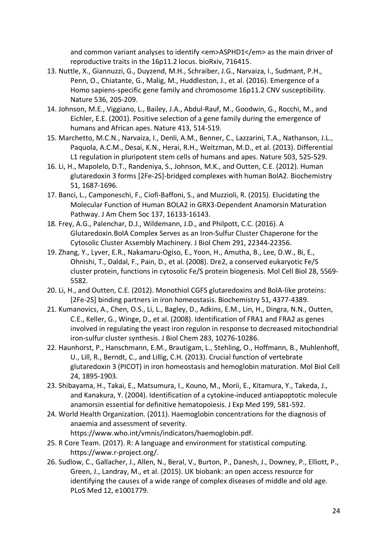and common variant analyses to identify <em>ASPHD1</em> as the main driver of reproductive traits in the 16p11.2 locus. bioRxiv, 716415.

- 13. Nuttle, X., Giannuzzi, G., Duyzend, M.H., Schraiber, J.G., Narvaiza, I., Sudmant, P.H., Penn, O., Chiatante, G., Malig, M., Huddleston, J., et al. (2016). Emergence of a Homo sapiens-specific gene family and chromosome 16p11.2 CNV susceptibility. Nature 536, 205-209.
- 14. Johnson, M.E., Viggiano, L., Bailey, J.A., Abdul-Rauf, M., Goodwin, G., Rocchi, M., and Eichler, E.E. (2001). Positive selection of a gene family during the emergence of humans and African apes. Nature 413, 514-519.
- 15. Marchetto, M.C.N., Narvaiza, I., Denli, A.M., Benner, C., Lazzarini, T.A., Nathanson, J.L., Paquola, A.C.M., Desai, K.N., Herai, R.H., Weitzman, M.D., et al. (2013). Differential L1 regulation in pluripotent stem cells of humans and apes. Nature 503, 525-529.
- 16. Li, H., Mapolelo, D.T., Randeniya, S., Johnson, M.K., and Outten, C.E. (2012). Human glutaredoxin 3 forms [2Fe-2S]-bridged complexes with human BolA2. Biochemistry 51, 1687-1696.
- 17. Banci, L., Camponeschi, F., Ciofi-Baffoni, S., and Muzzioli, R. (2015). Elucidating the Molecular Function of Human BOLA2 in GRX3-Dependent Anamorsin Maturation Pathway. J Am Chem Soc 137, 16133-16143.
- 18. Frey, A.G., Palenchar, D.J., Wildemann, J.D., and Philpott, C.C. (2016). A Glutaredoxin.BolA Complex Serves as an Iron-Sulfur Cluster Chaperone for the Cytosolic Cluster Assembly Machinery. J Biol Chem 291, 22344-22356.
- 19. Zhang, Y., Lyver, E.R., Nakamaru-Ogiso, E., Yoon, H., Amutha, B., Lee, D.W., Bi, E., Ohnishi, T., Daldal, F., Pain, D., et al. (2008). Dre2, a conserved eukaryotic Fe/S cluster protein, functions in cytosolic Fe/S protein biogenesis. Mol Cell Biol 28, 5569- 5582.
- 20. Li, H., and Outten, C.E. (2012). Monothiol CGFS glutaredoxins and BolA-like proteins: [2Fe-2S] binding partners in iron homeostasis. Biochemistry 51, 4377-4389.
- 21. Kumanovics, A., Chen, O.S., Li, L., Bagley, D., Adkins, E.M., Lin, H., Dingra, N.N., Outten, C.E., Keller, G., Winge, D., et al. (2008). Identification of FRA1 and FRA2 as genes involved in regulating the yeast iron regulon in response to decreased mitochondrial iron-sulfur cluster synthesis. J Biol Chem 283, 10276-10286.
- 22. Haunhorst, P., Hanschmann, E.M., Brautigam, L., Stehling, O., Hoffmann, B., Muhlenhoff, U., Lill, R., Berndt, C., and Lillig, C.H. (2013). Crucial function of vertebrate glutaredoxin 3 (PICOT) in iron homeostasis and hemoglobin maturation. Mol Biol Cell 24, 1895-1903.
- 23. Shibayama, H., Takai, E., Matsumura, I., Kouno, M., Morii, E., Kitamura, Y., Takeda, J., and Kanakura, Y. (2004). Identification of a cytokine-induced antiapoptotic molecule anamorsin essential for definitive hematopoiesis. J Exp Med 199, 581-592.
- 24. World Health Organization. (2011). Haemoglobin concentrations for the diagnosis of anaemia and assessment of severity.
	- https://www.who.int/vmnis/indicators/haemoglobin.pdf.
- 25. R Core Team. (2017). R: A language and environment for statistical computing. https://www.r-project.org/.
- 26. Sudlow, C., Gallacher, J., Allen, N., Beral, V., Burton, P., Danesh, J., Downey, P., Elliott, P., Green, J., Landray, M., et al. (2015). UK biobank: an open access resource for identifying the causes of a wide range of complex diseases of middle and old age. PLoS Med 12, e1001779.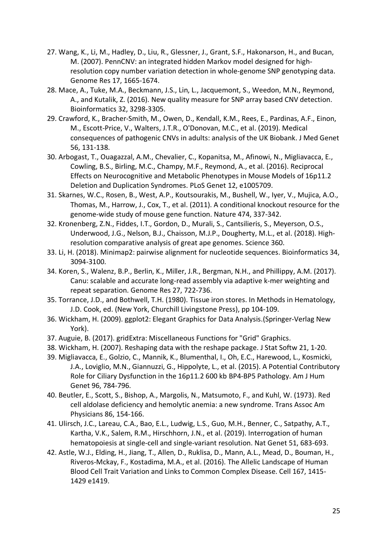- 27. Wang, K., Li, M., Hadley, D., Liu, R., Glessner, J., Grant, S.F., Hakonarson, H., and Bucan, M. (2007). PennCNV: an integrated hidden Markov model designed for highresolution copy number variation detection in whole-genome SNP genotyping data. Genome Res 17, 1665-1674.
- 28. Mace, A., Tuke, M.A., Beckmann, J.S., Lin, L., Jacquemont, S., Weedon, M.N., Reymond, A., and Kutalik, Z. (2016). New quality measure for SNP array based CNV detection. Bioinformatics 32, 3298-3305.
- 29. Crawford, K., Bracher-Smith, M., Owen, D., Kendall, K.M., Rees, E., Pardinas, A.F., Einon, M., Escott-Price, V., Walters, J.T.R., O'Donovan, M.C., et al. (2019). Medical consequences of pathogenic CNVs in adults: analysis of the UK Biobank. J Med Genet 56, 131-138.
- 30. Arbogast, T., Ouagazzal, A.M., Chevalier, C., Kopanitsa, M., Afinowi, N., Migliavacca, E., Cowling, B.S., Birling, M.C., Champy, M.F., Reymond, A., et al. (2016). Reciprocal Effects on Neurocognitive and Metabolic Phenotypes in Mouse Models of 16p11.2 Deletion and Duplication Syndromes. PLoS Genet 12, e1005709.
- 31. Skarnes, W.C., Rosen, B., West, A.P., Koutsourakis, M., Bushell, W., Iyer, V., Mujica, A.O., Thomas, M., Harrow, J., Cox, T., et al. (2011). A conditional knockout resource for the genome-wide study of mouse gene function. Nature 474, 337-342.
- 32. Kronenberg, Z.N., Fiddes, I.T., Gordon, D., Murali, S., Cantsilieris, S., Meyerson, O.S., Underwood, J.G., Nelson, B.J., Chaisson, M.J.P., Dougherty, M.L., et al. (2018). Highresolution comparative analysis of great ape genomes. Science 360.
- 33. Li, H. (2018). Minimap2: pairwise alignment for nucleotide sequences. Bioinformatics 34, 3094-3100.
- 34. Koren, S., Walenz, B.P., Berlin, K., Miller, J.R., Bergman, N.H., and Phillippy, A.M. (2017). Canu: scalable and accurate long-read assembly via adaptive k-mer weighting and repeat separation. Genome Res 27, 722-736.
- 35. Torrance, J.D., and Bothwell, T.H. (1980). Tissue iron stores. In Methods in Hematology, J.D. Cook, ed. (New York, Churchill Livingstone Press), pp 104-109.
- 36. Wickham, H. (2009). ggplot2: Elegant Graphics for Data Analysis.(Springer-Verlag New York).
- 37. Auguie, B. (2017). gridExtra: Miscellaneous Functions for "Grid" Graphics.
- 38. Wickham, H. (2007). Reshaping data with the reshape package. J Stat Softw 21, 1-20.
- 39. Migliavacca, E., Golzio, C., Mannik, K., Blumenthal, I., Oh, E.C., Harewood, L., Kosmicki, J.A., Loviglio, M.N., Giannuzzi, G., Hippolyte, L., et al. (2015). A Potential Contributory Role for Ciliary Dysfunction in the 16p11.2 600 kb BP4-BP5 Pathology. Am J Hum Genet 96, 784-796.
- 40. Beutler, E., Scott, S., Bishop, A., Margolis, N., Matsumoto, F., and Kuhl, W. (1973). Red cell aldolase deficiency and hemolytic anemia: a new syndrome. Trans Assoc Am Physicians 86, 154-166.
- 41. Ulirsch, J.C., Lareau, C.A., Bao, E.L., Ludwig, L.S., Guo, M.H., Benner, C., Satpathy, A.T., Kartha, V.K., Salem, R.M., Hirschhorn, J.N., et al. (2019). Interrogation of human hematopoiesis at single-cell and single-variant resolution. Nat Genet 51, 683-693.
- 42. Astle, W.J., Elding, H., Jiang, T., Allen, D., Ruklisa, D., Mann, A.L., Mead, D., Bouman, H., Riveros-Mckay, F., Kostadima, M.A., et al. (2016). The Allelic Landscape of Human Blood Cell Trait Variation and Links to Common Complex Disease. Cell 167, 1415- 1429 e1419.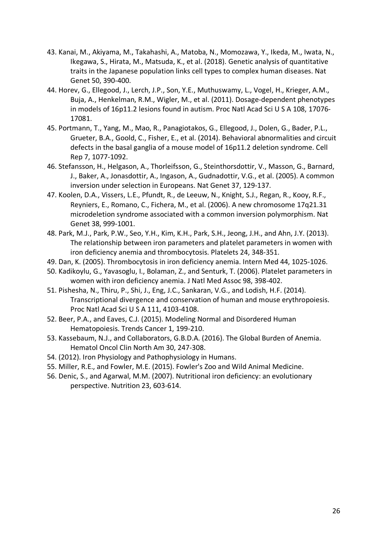- 43. Kanai, M., Akiyama, M., Takahashi, A., Matoba, N., Momozawa, Y., Ikeda, M., Iwata, N., Ikegawa, S., Hirata, M., Matsuda, K., et al. (2018). Genetic analysis of quantitative traits in the Japanese population links cell types to complex human diseases. Nat Genet 50, 390-400.
- 44. Horev, G., Ellegood, J., Lerch, J.P., Son, Y.E., Muthuswamy, L., Vogel, H., Krieger, A.M., Buja, A., Henkelman, R.M., Wigler, M., et al. (2011). Dosage-dependent phenotypes in models of 16p11.2 lesions found in autism. Proc Natl Acad Sci U S A 108, 17076- 17081.
- 45. Portmann, T., Yang, M., Mao, R., Panagiotakos, G., Ellegood, J., Dolen, G., Bader, P.L., Grueter, B.A., Goold, C., Fisher, E., et al. (2014). Behavioral abnormalities and circuit defects in the basal ganglia of a mouse model of 16p11.2 deletion syndrome. Cell Rep 7, 1077-1092.
- 46. Stefansson, H., Helgason, A., Thorleifsson, G., Steinthorsdottir, V., Masson, G., Barnard, J., Baker, A., Jonasdottir, A., Ingason, A., Gudnadottir, V.G., et al. (2005). A common inversion under selection in Europeans. Nat Genet 37, 129-137.
- 47. Koolen, D.A., Vissers, L.E., Pfundt, R., de Leeuw, N., Knight, S.J., Regan, R., Kooy, R.F., Reyniers, E., Romano, C., Fichera, M., et al. (2006). A new chromosome 17q21.31 microdeletion syndrome associated with a common inversion polymorphism. Nat Genet 38, 999-1001.
- 48. Park, M.J., Park, P.W., Seo, Y.H., Kim, K.H., Park, S.H., Jeong, J.H., and Ahn, J.Y. (2013). The relationship between iron parameters and platelet parameters in women with iron deficiency anemia and thrombocytosis. Platelets 24, 348-351.
- 49. Dan, K. (2005). Thrombocytosis in iron deficiency anemia. Intern Med 44, 1025-1026.
- 50. Kadikoylu, G., Yavasoglu, I., Bolaman, Z., and Senturk, T. (2006). Platelet parameters in women with iron deficiency anemia. J Natl Med Assoc 98, 398-402.
- 51. Pishesha, N., Thiru, P., Shi, J., Eng, J.C., Sankaran, V.G., and Lodish, H.F. (2014). Transcriptional divergence and conservation of human and mouse erythropoiesis. Proc Natl Acad Sci U S A 111, 4103-4108.
- 52. Beer, P.A., and Eaves, C.J. (2015). Modeling Normal and Disordered Human Hematopoiesis. Trends Cancer 1, 199-210.
- 53. Kassebaum, N.J., and Collaborators, G.B.D.A. (2016). The Global Burden of Anemia. Hematol Oncol Clin North Am 30, 247-308.
- 54. (2012). Iron Physiology and Pathophysiology in Humans.
- 55. Miller, R.E., and Fowler, M.E. (2015). Fowler's Zoo and Wild Animal Medicine.
- 56. Denic, S., and Agarwal, M.M. (2007). Nutritional iron deficiency: an evolutionary perspective. Nutrition 23, 603-614.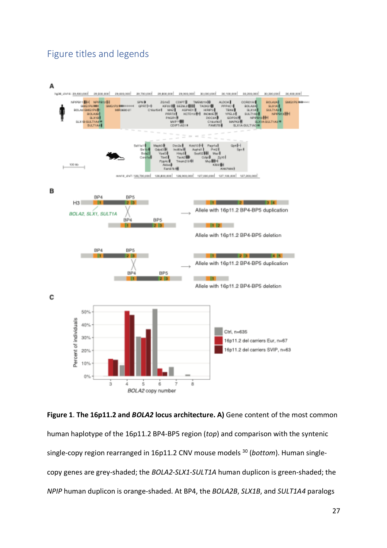## Figure titles and legends



**Figure 1**. **The 16p11.2 and** *BOLA2* **locus architecture. A)** Gene content of the most common human haplotype of the 16p11.2 BP4-BP5 region (*top*) and comparison with the syntenic single-copy region rearranged in 16p11.2 CNV mouse models 30 (*bottom*). Human singlecopy genes are grey-shaded; the *BOLA2*-*SLX1*-*SULT1A* human duplicon is green-shaded; the *NPIP* human duplicon is orange-shaded. At BP4, the *BOLA2B*, *SLX1B*, and *SULT1A4* paralogs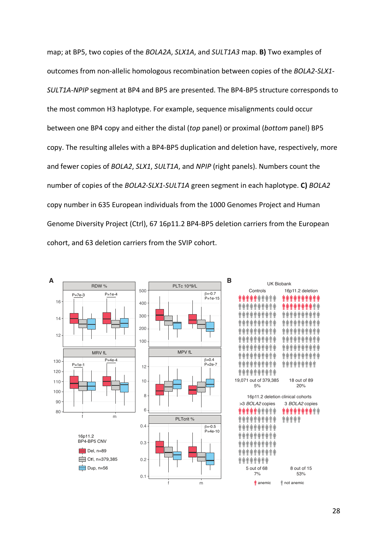map; at BP5, two copies of the *BOLA2A*, *SLX1A*, and *SULT1A3* map. **B)** Two examples of outcomes from non-allelic homologous recombination between copies of the *BOLA2*-*SLX1*- *SULT1A-NPIP* segment at BP4 and BP5 are presented. The BP4-BP5 structure corresponds to the most common H3 haplotype. For example, sequence misalignments could occur between one BP4 copy and either the distal (*top* panel) or proximal (*bottom* panel) BP5 copy. The resulting alleles with a BP4-BP5 duplication and deletion have, respectively, more and fewer copies of *BOLA2*, *SLX1*, *SULT1A*, and *NPIP* (right panels). Numbers count the number of copies of the *BOLA2*-*SLX1*-*SULT1A* green segment in each haplotype. **C)** *BOLA2* copy number in 635 European individuals from the 1000 Genomes Project and Human Genome Diversity Project (Ctrl), 67 16p11.2 BP4-BP5 deletion carriers from the European cohort, and 63 deletion carriers from the SVIP cohort.

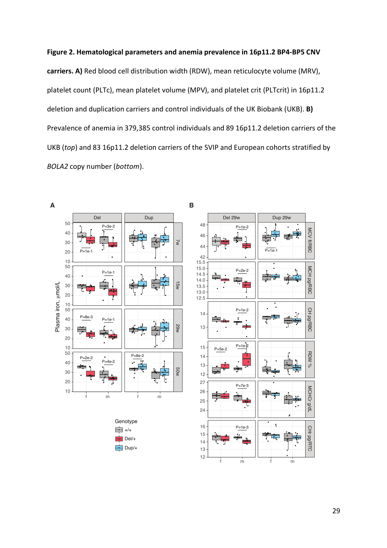# **Figure 2. Hematological parameters and anemia prevalence in 16p11.2 BP4-BP5 CNV carriers. A)** Red blood cell distribution width (RDW), mean reticulocyte volume (MRV), platelet count (PLTc), mean platelet volume (MPV), and platelet crit (PLTcrit) in 16p11.2 deletion and duplication carriers and control individuals of the UK Biobank (UKB). **B)** Prevalence of anemia in 379,385 control individuals and 89 16p11.2 deletion carriers of the UKB (*top*) and 83 16p11.2 deletion carriers of the SVIP and European cohorts stratified by *BOLA2* copy number (*bottom*).

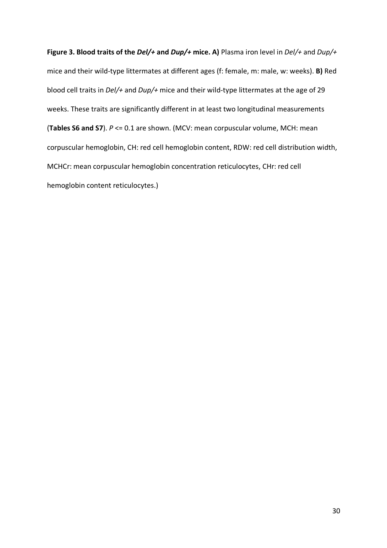**Figure 3. Blood traits of the** *Del/+* **and** *Dup/+* **mice. A)** Plasma iron level in *Del/+* and *Dup/+* mice and their wild-type littermates at different ages (f: female, m: male, w: weeks). **B)** Red blood cell traits in *Del/+* and *Dup/+* mice and their wild-type littermates at the age of 29 weeks. These traits are significantly different in at least two longitudinal measurements (**Tables S6 and S7**). *P* <= 0.1 are shown. (MCV: mean corpuscular volume, MCH: mean corpuscular hemoglobin, CH: red cell hemoglobin content, RDW: red cell distribution width, MCHCr: mean corpuscular hemoglobin concentration reticulocytes, CHr: red cell hemoglobin content reticulocytes.)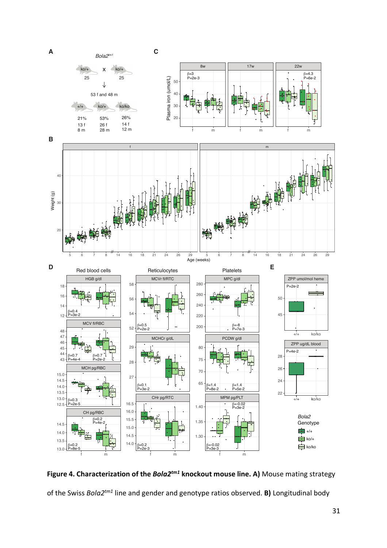

## **Figure 4. Characterization of the** *Bola2tm1* **knockout mouse line. A)** Mouse mating strategy of the Swiss *Bola2tm1* line and gender and genotype ratios observed. **B)** Longitudinal body